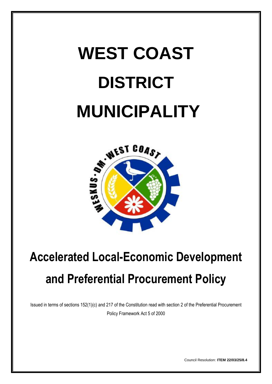# **WEST COAST DISTRICT**



# **Accelerated Local-Economic Development and Preferential Procurement Policy**

Issued in terms of sections 152(1)(c) and 217 of the Constitution read with section 2 of the Preferential Procurement Policy Framework Act 5 of 2000

Council Resolution: **ITEM 22/03/25/8.4**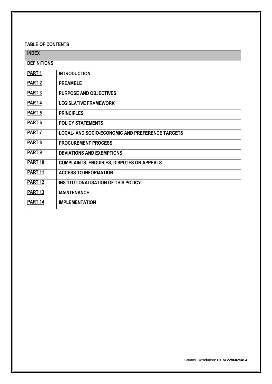# **TABLE OF CONTENTS**

| <b>INDEX</b>       |                                                         |  |
|--------------------|---------------------------------------------------------|--|
| <b>DEFINITIONS</b> |                                                         |  |
| PART <sub>1</sub>  | <b>INTRODUCTION</b>                                     |  |
| PART <sub>2</sub>  | <b>PREAMBLE</b>                                         |  |
| <b>PART 3</b>      | <b>PURPOSE AND OBJECTIVES</b>                           |  |
| PART <sub>4</sub>  | <b>LEGISLATIVE FRAMEWORK</b>                            |  |
| <b>PART 5</b>      | <b>PRINCIPLES</b>                                       |  |
| PART <sub>6</sub>  | <b>POLICY STATEMENTS</b>                                |  |
| PART <sub>7</sub>  | <b>LOCAL- AND SOCIO-ECONOMIC AND PREFERENCE TARGETS</b> |  |
| PART 8             | <b>PROCUREMENT PROCESS</b>                              |  |
| PART <sub>9</sub>  | <b>DEVIATIONS AND EXEMPTIONS</b>                        |  |
| <b>PART 10</b>     | <b>COMPLAINTS, ENQUIRIES, DISPUTES OR APPEALS</b>       |  |
| PART <sub>11</sub> | <b>ACCESS TO INFORMATION</b>                            |  |
| PART <sub>12</sub> | <b>INSTITUTIONALISATION OF THIS POLICY</b>              |  |
| PART <sub>13</sub> | <b>MAINTENANCE</b>                                      |  |
| <b>PART 14</b>     | <b>IMPLEMENTATION</b>                                   |  |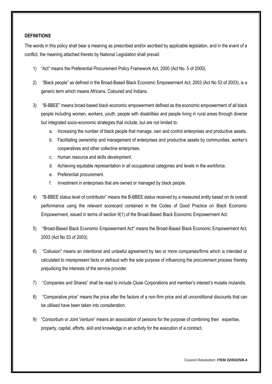#### <span id="page-2-0"></span>**DEFINITIONS**

The words in this policy shall bear a meaning as prescribed and/or ascribed by applicable legislation, and in the event of a conflict, the meaning attached thereto by National Legislation shall prevail:

- 1) "Act" means the Preferential Procurement Policy Framework Act, 2000 (Act No. 5 of 2000).
- 2) "Black people" as defined in the Broad-Based Black Economic Empowerment Act, 2003 (Act No 53 of 2003), is a generic term which means Africans, Coloured and Indians.
- 3) "B-BBEE" means broad-based black economic empowerment defined as the economic empowerment of all black people including women, workers, youth, people with disabilities and people living in rural areas through diverse but integrated socio-economic strategies that include, but are not limited to:
	- a. Increasing the number of black people that manage, own and control enterprises and productive assets.
	- b. Facilitating ownership and management of enterprises and productive assets by communities, worker's cooperatives and other collective enterprises.
	- c. Human resource and skills development.
	- d. Achieving equitable representation in all occupational categories and levels in the workforce.
	- e. Preferential procurement.
	- f. Investment in enterprises that are owned or managed by black people.
- 4) "B-BBEE status level of contributor" means the B-BBEE status received by a measured entity based on its overall performance using the relevant scorecard contained in the Codes of Good Practice on Black Economic Empowerment, issued in terms of section 9(1) of the Broad-Based Black Economic Empowerment Act.
- 5) "Broad-Based Black Economic Empowerment Act" means the Broad-Based Black Economic Empowerment Act, 2003 (Act No 53 of 2003).
- 6) "Collusion" means an intentional and unlawful agreement by two or more companies/firms which is intended or calculated to misrepresent facts or defraud with the sole purpose of influencing the procurement process thereby prejudicing the interests of the service provider.
- 7) "Companies and Shares" shall be read to include Close Corporations and member's interest's mutatis mutandis.
- 8) "Comparative price" means the price after the factors of a non-firm price and all unconditional discounts that can be utilised have been taken into consideration.
- 9) "Consortium or Joint Venture" means an association of persons for the purpose of combining their expertise, property, capital, efforts, skill and knowledge in an activity for the execution of a contract.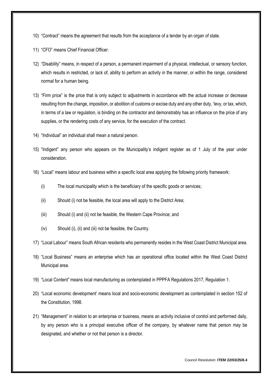- 10) "Contract" means the agreement that results from the acceptance of a tender by an organ of state.
- 11) "CFO" means Chief Financial Officer.
- 12) "Disability" means, in respect of a person, a permanent impairment of a physical, intellectual, or sensory function, which results in restricted, or lack of, ability to perform an activity in the manner, or within the range, considered normal for a human being.
- 13) "Firm price" is the price that is only subject to adjustments in accordance with the actual increase or decrease resulting from the change, imposition, or abolition of customs or excise duty and any other duty, 'levy, or tax, which, in terms of a law or regulation, is binding on the contractor and demonstrably has an influence on the price of any supplies, or the rendering costs of any service, for the execution of the contract.
- 14) "Individual" an individual shall mean a natural person.
- 15) "Indigent" any person who appears on the Municipality's indigent register as of 1 July of the year under consideration.
- 16) "Local" means labour and business within a specific local area applying the following priority framework:
	- (i) The local municipality which is the beneficiary of the specific goods or services;
	- (ii) Should (i) not be feasible, the local area will apply to the District Area;
	- (iii) Should (i) and (ii) not be feasible, the Western Cape Province; and
	- (iv) Should (i), (ii) and (iii) not be feasible, the Country.
- 17) "Local Labour" means South African residents who permanently resides in the West Coast District Municipal area.
- 18) "Local Business" means an enterprise which has an operational office located within the West Coast District Municipal area.
- 19) "Local Content" means local manufacturing as contemplated in PPPFA Regulations 2017, Regulation 1.
- 20) "Local economic development' means local and socio-economic development as contemplated in section 152 of the Constitution, 1998.
- 21) "Management" in relation to an enterprise or business, means an activity inclusive of control and performed daily, by any person who is a principal executive officer of the company, by whatever name that person may be designated, and whether or not that person is a director.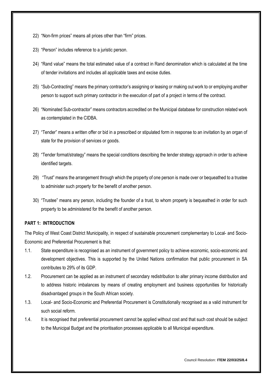- 22) "Non-firm prices" means all prices other than "firm" prices.
- 23) "Person" includes reference to a juristic person.
- 24) "Rand value" means the total estimated value of a contract in Rand denomination which is calculated at the time of tender invitations and includes all applicable taxes and excise duties.
- 25) "Sub-Contracting" means the primary contractor's assigning or leasing or making out work to or employing another person to support such primary contractor in the execution of part of a project in terms of the contract.
- 26) "Nominated Sub-contractor" means contractors accredited on the Municipal database for construction related work as contemplated in the CIDBA.
- 27) "Tender" means a written offer or bid in a prescribed or stipulated form in response to an invitation by an organ of state for the provision of services or goods.
- 28) "Tender format/strategy" means the special conditions describing the tender strategy approach in order to achieve identified targets.
- 29) "Trust" means the arrangement through which the property of one person is made over or bequeathed to a trustee to administer such property for the benefit of another person.
- 30) "Trustee" means any person, including the founder of a trust, to whom property is bequeathed in order for such property to be administered for the benefit of another person.

#### **PART 1: INTRODUCTION**

The Policy of West Coast District Municipality, in respect of sustainable procurement complementary to Local- and Socio-Economic and Preferential Procurement is that:

- 1.1. State expenditure is recognised as an instrument of government policy to achieve economic, socio-economic and development objectives. This is supported by the United Nations confirmation that public procurement in SA contributes to 29% of its GDP.
- 1.2. Procurement can be applied as an instrument of secondary redistribution to alter primary income distribution and to address historic imbalances by means of creating employment and business opportunities for historically disadvantaged groups in the South African society.
- 1.3. Local- and Socio-Economic and Preferential Procurement is Constitutionally recognised as a valid instrument for such social reform.
- 1.4. It is recognised that preferential procurement cannot be applied without cost and that such cost should be subject to the Municipal Budget and the prioritisation processes applicable to all Municipal expenditure.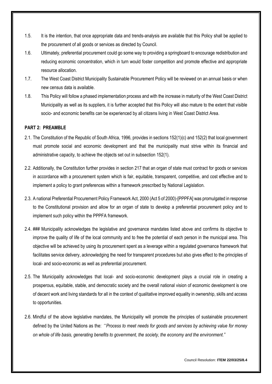- 1.5. It is the intention, that once appropriate data and trends-analysis are available that this Policy shall be applied to the procurement of all goods or services as directed by Council.
- 1.6. Ultimately, preferential procurement could go some way to providing a springboard to encourage redistribution and reducing economic concentration, which in turn would foster competition and promote effective and appropriate resource allocation.
- 1.7. The West Coast District Municipality Sustainable Procurement Policy will be reviewed on an annual basis or when new census data is available.
- 1.8. This Policy will follow a phased implementation process and with the increase in maturity of the West Coast District Municipality as well as its suppliers, it is further accepted that this Policy will also mature to the extent that visible socio- and economic benefits can be experienced by all citizens living in West Coast District Area.

#### <span id="page-5-0"></span>**PART 2: PREAMBLE**

- 2.1. The Constitution of the Republic of South Africa, 1996, provides in sections 152(1)(c) and 152(2) that local government must promote social and economic development and that the municipality must strive within its financial and administrative capacity, to achieve the objects set out in subsection 152(1).
- 2.2. Additionally, the Constitution further provides in section 217 that an organ of state must contract for goods or services in accordance with a procurement system which is fair, equitable, transparent, competitive, and cost effective and to implement a policy to grant preferences within a framework prescribed by National Legislation.
- 2.3. A national Preferential Procurement Policy Framework Act, 2000 (Act 5 of 2000)-[PPPFA] was promulgated in response to the Constitutional provision and allow for an organ of state to develop a preferential procurement policy and to implement such policy within the PPPFA framework.
- 2.4. ### Municipality acknowledges the legislative and governance mandates listed above and confirms its objective to improve the quality of life of the local community and to free the potential of each person in the municipal area. This objective will be achieved by using its procurement spent as a leverage within a regulated governance framework that facilitates service delivery, acknowledging the need for transparent procedures but also gives effect to the principles of local- and socio-economic as well as preferential procurement.
- 2.5. The Municipality acknowledges that local- and socio-economic development plays a crucial role in creating a prosperous, equitable, stable, and democratic society and the overall national vision of economic development is one of decent work and living standards for all in the context of qualitative improved equality in ownership, skills and access to opportunities.
- 2.6. Mindful of the above legislative mandates, the Municipality will promote the principles of sustainable procurement defined by the United Nations as the: *"Process to meet needs for goods and services by achieving value for money on whole of life basis, generating benefits to government, the society, the economy and the environment."*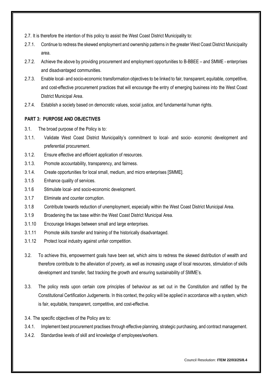- 2.7. It is therefore the intention of this policy to assist the West Coast District Municipality to:
- 2.7.1. Continue to redress the skewed employment and ownership patterns in the greater West Coast District Municipality area.
- 2.7.2. Achieve the above by providing procurement and employment opportunities to B-BBEE and SMME enterprises and disadvantaged communities.
- 2.7.3. Enable local- and socio-economic transformation objectives to be linked to fair, transparent, equitable, competitive, and cost-effective procurement practices that will encourage the entry of emerging business into the West Coast District Municipal Area.
- 2.7.4. Establish a society based on democratic values, social justice, and fundamental human rights.

#### <span id="page-6-0"></span>**PART 3: PURPOSE AND OBJECTIVES**

- 3.1. The broad purpose of the Policy is to:
- 3.1.1. Validate West Coast District Municipality's commitment to local- and socio- economic development and preferential procurement.
- 3.1.2. Ensure effective and efficient application of resources.
- 3.1.3. Promote accountability, transparency, and fairness.
- 3.1.4. Create opportunities for local small, medium, and micro enterprises [SMME].
- 3.1.5 Enhance quality of services.
- 3.1.6 Stimulate local- and socio-economic development.
- 3.1.7 Eliminate and counter corruption.
- 3.1.8 Contribute towards reduction of unemployment, especially within the West Coast District Municipal Area.
- 3.1.9 Broadening the tax base within the West Coast District Municipal Area.
- 3.1.10 Encourage linkages between small and large enterprises.
- 3.1.11 Promote skills transfer and training of the historically disadvantaged.
- 3.1.12 Protect local industry against unfair competition.
- 3.2. To achieve this, empowerment goals have been set, which aims to redress the skewed distribution of wealth and therefore contribute to the alleviation of poverty, as well as increasing usage of local resources, stimulation of skills development and transfer, fast tracking the growth and ensuring sustainability of SMME's.
- 3.3. The policy rests upon certain core principles of behaviour as set out in the Constitution and ratified by the Constitutional Certification Judgements. In this context, the policy will be applied in accordance with a system, which is fair, equitable, transparent, competitive, and cost-effective.
- 3.4. The specific objectives of the Policy are to:
- 3.4.1. Implement best procurement practises through effective planning, strategic purchasing, and contract management.
- 3.4.2. Standardise levels of skill and knowledge of employees/workers.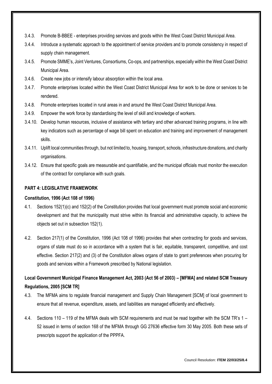- 3.4.3. Promote B-BBEE enterprises providing services and goods within the West Coast District Municipal Area.
- 3.4.4. Introduce a systematic approach to the appointment of service providers and to promote consistency in respect of supply chain management.
- 3.4.5. Promote SMME's, Joint Ventures, Consortiums, Co-ops, and partnerships, especially within the West Coast District Municipal Area.
- 3.4.6. Create new jobs or intensify labour absorption within the local area.
- 3.4.7. Promote enterprises located within the West Coast District Municipal Area for work to be done or services to be rendered.
- 3.4.8. Promote enterprises located in rural areas in and around the West Coast District Municipal Area.
- 3.4.9. Empower the work force by standardising the level of skill and knowledge of workers.
- 3.4.10. Develop human resources, inclusive of assistance with tertiary and other advanced training programs, in line with key indicators such as percentage of wage bill spent on education and training and improvement of management skills.
- 3.4.11. Uplift local communities through, but not limited to, housing, transport, schools, infrastructure donations, and charity organisations.
- 3.4.12. Ensure that specific goals are measurable and quantifiable, and the municipal officials must monitor the execution of the contract for compliance with such goals.

#### <span id="page-7-0"></span>**PART 4: LEGISLATIVE FRAMEWORK**

#### **Constitution, 1996 (Act 108 of 1996)**

- 4.1. Sections 152(1)(c) and 152(2) of the Constitution provides that local government must promote social and economic development and that the municipality must strive within its financial and administrative capacity, to achieve the objects set out in subsection 152(1).
- 4.2. Section 217(1) of the Constitution, 1996 (Act 108 of 1996) provides that when contracting for goods and services, organs of state must do so in accordance with a system that is fair, equitable, transparent, competitive, and cost effective. Section 217(2) and (3) of the Constitution allows organs of state to grant preferences when procuring for goods and services within a Framework prescribed by National legislation.

# **Local Government Municipal Finance Management Act, 2003 (Act 56 of 2003) – [MFMA] and related SCM Treasury Regulations, 2005 [SCM TR]**

- 4.3. The MFMA aims to regulate financial management and Supply Chain Management [SCM] of local government to ensure that all revenue, expenditure, assets, and liabilities are managed efficiently and effectively.
- 4.4. Sections 110 119 of the MFMA deals with SCM requirements and must be read together with the SCM TR's 1 52 issued in terms of section 168 of the MFMA through GG 27636 effective form 30 May 2005. Both these sets of prescripts support the application of the PPPFA.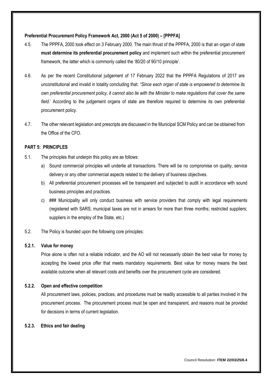#### **Preferential Procurement Policy Framework Act, 2000 (Act 5 of 2000) – [PPPFA]**

- 4.5. The PPPFA, 2000 took effect on 3 February 2000. The main thrust of the PPPFA, 2000 is that an organ of state **must determine its preferential procurement policy** and implement such within the preferential procurement framework, the latter which is commonly called the '80/20 of 90/10 principle'.
- 4.6. As per the recent Constitutional judgement of 17 February 2022 that the PPPFA Regulations of 2017 are unconstitutional and invalid in totality concluding that: *"Since each organ of state is empowered to determine its own preferential procurement policy, it cannot also lie with the Minister to make regulations that cover the same field.*' According to the judgement organs of state are therefore required to determine its own preferential procurement policy.
- 4.7. The other relevant legislation and prescripts are discussed in the Municipal SCM Policy and can be obtained from the Office of the CFO.

#### <span id="page-8-0"></span>**PART 5: PRINCIPLES**

- 5.1. The principles that underpin this policy are as follows:
	- a) Sound commercial principles will underlie all transactions. There will be no compromise on quality, service delivery or any other commercial aspects related to the delivery of business objectives.
	- b) All preferential procurement processes will be transparent and subjected to audit in accordance with sound business principles and practices.
	- c) ### Municipality will only conduct business with service providers that comply with legal requirements (registered with SARS; municipal taxes are not in arrears for more than three months; restricted suppliers; suppliers in the employ of the State, etc.)
- 5.2. The Policy is founded upon the following core principles:

#### **5.2.1. Value for money**

Price alone is often not a reliable indicator, and the AO will not necessarily obtain the best value for money by accepting the lowest price offer that meets mandatory requirements. Best value for money means the best available outcome when all relevant costs and benefits over the procurement cycle are considered.

#### **5.2.2. Open and effective competition**

All procurement laws, policies, practices, and procedures must be readily accessible to all parties involved in the procurement process. The procurement process must be open and transparent, and reasons must be provided for decisions in terms of current legislation.

#### **5.2.3. Ethics and fair dealing**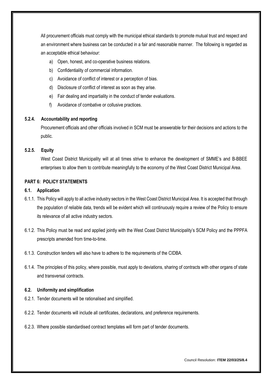All procurement officials must comply with the municipal ethical standards to promote mutual trust and respect and an environment where business can be conducted in a fair and reasonable manner. The following is regarded as an acceptable ethical behaviour:

- a) Open, honest, and co-operative business relations.
- b) Confidentiality of commercial information.
- c) Avoidance of conflict of interest or a perception of bias.
- d) Disclosure of conflict of interest as soon as they arise.
- e) Fair dealing and impartiality in the conduct of tender evaluations.
- f) Avoidance of combative or collusive practices.

#### **5.2.4. Accountability and reporting**

Procurement officials and other officials involved in SCM must be answerable for their decisions and actions to the public.

#### **5.2.5. Equity**

West Coast District Municipality will at all times strive to enhance the development of SMME's and B-BBEE enterprises to allow them to contribute meaningfully to the economy of the West Coast District Municipal Area.

#### <span id="page-9-0"></span>**PART 6: POLICY STATEMENTS**

#### **6.1. Application**

- 6.1.1. This Policy will apply to all active industry sectors in the West Coast District Municipal Area. It is accepted that through the population of reliable data, trends will be evident which will continuously require a review of the Policy to ensure its relevance of all active industry sectors.
- 6.1.2. This Policy must be read and applied jointly with the West Coast District Municipality's SCM Policy and the PPPFA prescripts amended from time-to-time.
- 6.1.3. Construction tenders will also have to adhere to the requirements of the CIDBA.
- 6.1.4. The principles of this policy, where possible, must apply to deviations, sharing of contracts with other organs of state and transversal contracts.

#### **6.2. Uniformity and simplification**

- 6.2.1. Tender documents will be rationalised and simplified.
- 6.2.2. Tender documents will include all certificates, declarations, and preference requirements.
- 6.2.3. Where possible standardised contract templates will form part of tender documents.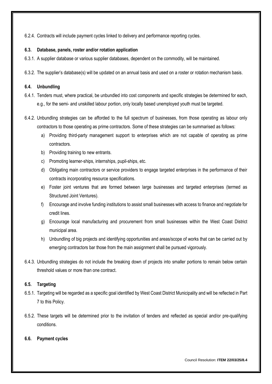6.2.4. Contracts will include payment cycles linked to delivery and performance reporting cycles.

#### **6.3. Database, panels, roster and/or rotation application**

- 6.3.1. A supplier database or various supplier databases, dependent on the commodity, will be maintained.
- 6.3.2. The supplier's database(s) will be updated on an annual basis and used on a roster or rotation mechanism basis.

#### **6.4. Unbundling**

- 6.4.1. Tenders must, where practical, be unbundled into cost components and specific strategies be determined for each, e.g., for the semi- and unskilled labour portion, only locally based unemployed youth must be targeted.
- 6.4.2. Unbundling strategies can be afforded to the full spectrum of businesses, from those operating as labour only contractors to those operating as prime contractors. Some of these strategies can be summarised as follows:
	- a) Providing third-party management support to enterprises which are not capable of operating as prime contractors.
	- b) Providing training to new entrants.
	- c) Promoting learner-ships, internships, pupil-ships, etc.
	- d) Obligating main contractors or service providers to engage targeted enterprises in the performance of their contracts incorporating resource specifications.
	- e) Foster joint ventures that are formed between large businesses and targeted enterprises (termed as Structured Joint Ventures).
	- f) Encourage and involve funding institutions to assist small businesses with access to finance and negotiate for credit lines.
	- g) Encourage local manufacturing and procurement from small businesses within the West Coast District municipal area.
	- h) Unbundling of big projects and identifying opportunities and areas/scope of works that can be carried out by emerging contractors bar those from the main assignment shall be pursued vigorously.
- 6.4.3. Unbundling strategies do not include the breaking down of projects into smaller portions to remain below certain threshold values or more than one contract.

#### **6.5. Targeting**

- 6.5.1. Targeting will be regarded as a specific goal identified by West Coast District Municipality and will be reflected in Part 7 to this Policy.
- 6.5.2. These targets will be determined prior to the invitation of tenders and reflected as special and/or pre-qualifying conditions.

#### **6.6. Payment cycles**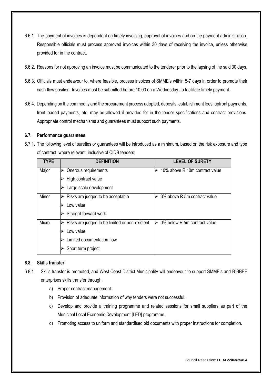- 6.6.1. The payment of invoices is dependent on timely invoicing, approval of invoices and on the payment administration. Responsible officials must process approved invoices within 30 days of receiving the invoice, unless otherwise provided for in the contract.
- 6.6.2. Reasons for not approving an invoice must be communicated to the tenderer prior to the lapsing of the said 30 days.
- 6.6.3. Officials must endeavour to, where feasible, process invoices of SMME's within 5-7 days in order to promote their cash flow position. Invoices must be submitted before 10:00 on a Wednesday, to facilitate timely payment.
- 6.6.4. Depending on the commodity and the procurement process adopted, deposits, establishment fees, upfront payments, front-loaded payments, etc. may be allowed if provided for in the tender specifications and contract provisions. Appropriate control mechanisms and guarantees must support such payments.

#### **6.7. Performance guarantees**

6.7.1. The following level of sureties or guarantees will be introduced as a minimum, based on the risk exposure and type of contract, where relevant, inclusive of CIDB tenders:

| <b>TYPE</b> | <b>DEFINITION</b>                              | <b>LEVEL OF SURETY</b>            |
|-------------|------------------------------------------------|-----------------------------------|
| Major       | Onerous requirements                           | 10% above R 10m contract value    |
|             | High contract value                            |                                   |
|             | Large scale development                        |                                   |
| Minor       | Risks are judged to be acceptable              | 3% above R 5m contract value      |
|             | Low value                                      |                                   |
|             | Straight-forward work                          |                                   |
| Micro       | Risks are judged to be limited or non-existent | 0% below R 5m contract value<br>↘ |
|             | Low value                                      |                                   |
|             | Limited documentation flow                     |                                   |
|             | Short term project                             |                                   |

#### **6.8. Skills transfer**

- 6.8.1. Skills transfer is promoted, and West Coast District Municipality will endeavour to support SMME's and B-BBEE enterprises skills transfer through:
	- a) Proper contract management.
	- b) Provision of adequate information of why tenders were not successful.
	- c) Develop and provide a training programme and related sessions for small suppliers as part of the Municipal Local Economic Development [LED] programme.
	- d) Promoting access to uniform and standardised bid documents with proper instructions for completion.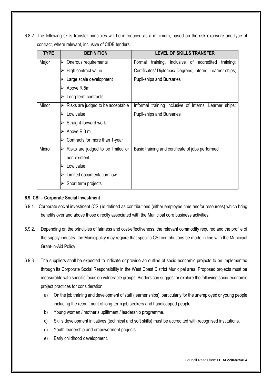6.8.2. The following skills transfer principles will be introduced as a minimum, based on the risk exposure and type of contract, where relevant, inclusive of CIDB tenders:

| <b>TYPE</b> | <b>DEFINITION</b>                      | <b>LEVEL OF SKILLS TRANSFER</b>                             |
|-------------|----------------------------------------|-------------------------------------------------------------|
| Major       | Onerous requirements<br>⋗              | Formal<br>training,<br>inclusive of accredited<br>training; |
|             | High contract value                    | Certificates/ Diplomas/ Degrees; Interns; Learner ships;    |
|             | Large scale development                | <b>Pupil-ships and Bursaries</b>                            |
|             | Above R 5m                             |                                                             |
|             | Long-term contracts                    |                                                             |
| Minor       | Risks are judged to be acceptable<br>➤ | Informal training inclusive of Interns; Learner ships;      |
|             | Low value                              | <b>Pupil-ships and Bursaries</b>                            |
|             | Straight-forward work                  |                                                             |
|             | Above R 3 m                            |                                                             |
|             | Contracts for more than 1-year         |                                                             |
| Micro       | Risks are judged to be limited or      | Basic training and certificate of jobs performed            |
|             | non-existent                           |                                                             |
|             | Low value                              |                                                             |
|             | Limited documentation flow             |                                                             |
|             | Short term projects                    |                                                             |

# **6.9. CSI – Corporate Social Investment**

- 6.9.1. Corporate social investment (CSI) is defined as contributions (either employee time and/or resources) which bring benefits over and above those directly associated with the Municipal core business activities.
- 6.9.2. Depending on the principles of fairness and cost-effectiveness, the relevant commodity required and the profile of the supply industry, the Municipality may require that specific CSI contributions be made in line with the Municipal Grant-in-Aid Policy.
- 6.9.3. The suppliers shall be expected to indicate or provide an outline of socio-economic projects to be implemented through its Corporate Social Responsibility in the West Coast District Municipal area. Proposed projects must be measurable with specific focus on vulnerable groups. Bidders can suggest or explore the following socio-economic project practices for consideration:
	- a) On the job training and development of staff (learner ships), particularly for the unemployed or young people including the recruitment of long-term job seekers and handicapped people.
	- b) Young women / mother's upliftment / leadership programme.
	- c) Skills development initiatives (technical and soft skills) must be accredited with recognised institutions.
	- d) Youth leadership and empowerment projects.
	- e) Early childhood development.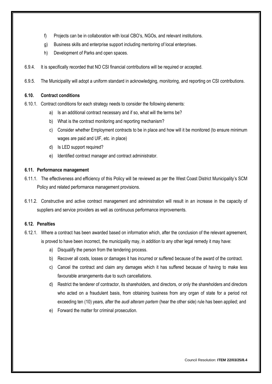- f) Projects can be in collaboration with local CBO's, NGOs, and relevant institutions.
- g) Business skills and enterprise support including mentoring of local enterprises.
- h) Development of Parks and open spaces.
- 6.9.4. It is specifically recorded that NO CSI financial contributions will be required or accepted.
- 6.9.5. The Municipality will adopt a uniform standard in acknowledging, monitoring, and reporting on CSI contributions.

#### **6.10. Contract conditions**

- 6.10.1. Contract conditions for each strategy needs to consider the following elements:
	- a) Is an additional contract necessary and if so, what will the terms be?
	- b) What is the contract monitoring and reporting mechanism?
	- c) Consider whether Employment contracts to be in place and how will it be monitored (to ensure minimum wages are paid and UIF, etc. in place)
	- d) Is LED support required?
	- e) Identified contract manager and contract administrator.

#### **6.11. Performance management**

- 6.11.1. The effectiveness and efficiency of this Policy will be reviewed as per the West Coast District Municipality's SCM Policy and related performance management provisions.
- 6.11.2. Constructive and active contract management and administration will result in an increase in the capacity of suppliers and service providers as well as continuous performance improvements.

#### **6.12. Penalties**

- 6.12.1. Where a contract has been awarded based on information which, after the conclusion of the relevant agreement, is proved to have been incorrect, the municipality may, in addition to any other legal remedy it may have:
	- a) Disqualify the person from the tendering process.
	- b) Recover all costs, losses or damages it has incurred or suffered because of the award of the contract.
	- c) Cancel the contract and claim any damages which it has suffered because of having to make less favourable arrangements due to such cancellations.
	- d) Restrict the tenderer of contractor, its shareholders, and directors, or only the shareholders and directors who acted on a fraudulent basis, from obtaining business from any organ of state for a period not exceeding ten (10) years, after the *audi alteram partem* (hear the other side) rule has been applied; and
	- e) Forward the matter for criminal prosecution.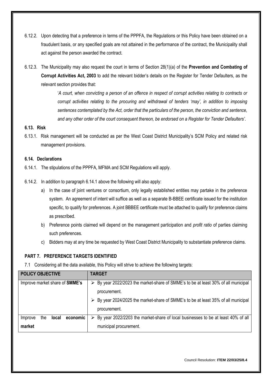- 6.12.2. Upon detecting that a preference in terms of the PPPFA, the Regulations or this Policy have been obtained on a fraudulent basis, or any specified goals are not attained in the performance of the contract, the Municipality shall act against the person awarded the contract.
- 6.12.3. The Municipality may also request the court in terms of Section 28(1)(a) of the **Prevention and Combating of Corrupt Activities Act, 2003** to add the relevant bidder's details on the Register for Tender Defaulters, as the relevant section provides that:

'*A court, when convicting a person of an offence in respect of corrupt activities relating to contracts or corrupt activities relating to the procuring and withdrawal of tenders 'may', in addition to imposing sentences contemplated by the Act, order that the particulars of the person, the conviction and sentence, and any other order of the court consequent thereon, be endorsed on a Register for Tender Defaulters'*.

#### **6.13. Risk**

6.13.1. Risk management will be conducted as per the West Coast District Municipality's SCM Policy and related risk management provisions.

#### **6.14. Declarations**

- 6.14.1. The stipulations of the PPPFA, MFMA and SCM Regulations will apply.
- 6.14.2. In addition to paragraph 6.14.1 above the following will also apply:
	- a) In the case of joint ventures or consortium, only legally established entities may partake in the preference system. An agreement of intent will suffice as well as a separate B-BBEE certificate issued for the institution specific, to qualify for preferences. A joint BBBEE certificate must be attached to qualify for preference claims as prescribed.
	- b) Preference points claimed will depend on the management participation and *profit ratio* of parties claiming such preferences.
	- c) Bidders may at any time be requested by West Coast District Municipality to substantiate preference claims.

#### **PART 7. PREFERENCE TARGETS IDENTIFIED**

7.1 Considering all the data available, this Policy will strive to achieve the following targets:

| <b>POLICY OBJECTIVE</b>                    | <b>TARGET</b>                                                                         |
|--------------------------------------------|---------------------------------------------------------------------------------------|
| Improve market share of <b>SMME's</b>      | ► By year 2022/2023 the market-share of SMME's to be at least 30% of all municipal    |
|                                            | procurement.                                                                          |
|                                            | > By year 2024/2025 the market-share of SMME's to be at least 35% of all municipal    |
|                                            | procurement.                                                                          |
| economic<br><b>local</b><br>the<br>Improve | By year 2022/2203 the market-share of local businesses to be at least 40% of all<br>➤ |
| market                                     | municipal procurement.                                                                |

Council Resolution: **ITEM 22/03/25/8.4**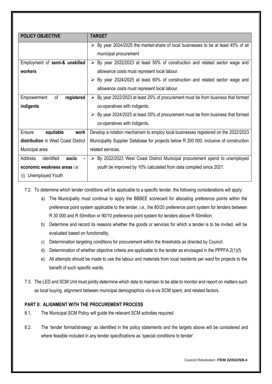| <b>POLICY OBJECTIVE</b>                          | <b>TARGET</b>                                                                                     |
|--------------------------------------------------|---------------------------------------------------------------------------------------------------|
|                                                  |                                                                                                   |
|                                                  | $\triangleright$ By year 2024/2025 the market-share of local businesses to be at least 45% of all |
|                                                  | municipal procurement                                                                             |
| Employment of semi-& unskilled                   | $\triangleright$ By year 2022/2023 at least 50% of construction and related sector wage and       |
| workers                                          | allowance costs must represent local labour.                                                      |
|                                                  | $\triangleright$ By year 2024/2025 at least 60% of construction and related sector wage and       |
|                                                  | allowance costs must represent local labour.                                                      |
| of<br>Empowerment<br>registered                  | $\triangleright$ By year 2022/2023 at least 25% of procurement must be from business that formed  |
| indigents                                        | co-operatives with indigents.                                                                     |
|                                                  | $\triangleright$ By year 2024/2025 at least 35% of procurement must be from business that formed  |
|                                                  | co-operatives with indigents.                                                                     |
| equitable<br>Ensure<br>work                      | Develop a rotation mechanism to employ local businesses registered on the 2022/2023               |
| distribution in West Coast District              | Municipality Supplier Database for projects below R 200 000, inclusive of construction            |
| Municipal area.                                  | related services.                                                                                 |
| identified<br>Address<br>socio<br>$\blacksquare$ | $\triangleright$ By 2022/2023 West Coast District Municipal procurement spend to unemployed       |
| economic weakness areas i.e:                     | youth be improved by 10% calculated from data compiled since 2021.                                |
| Unemployed Youth<br>(i)                          |                                                                                                   |

- <span id="page-15-0"></span>7.2. To determine which tender conditions will be applicable to a specific tender, the following considerations will apply:
	- a) The Municipality must continue to apply the BBBEE scorecard for allocating preference points within the preference point system applicable to the tender, i.e., the 80/20 preference point system for tenders between R 30 000 and R 50million or 90/10 preference point system for tenders above R 50million.
	- b) Determine and record its reasons whether the goods or services for which a tender is to be invited, will be evaluated based on functionality.
	- c) Determination targeting conditions for procurement within the thresholds as directed by Council.
	- d) Determination of whether objective criteria are applicable to the tender as envisaged in the PPPFA 2(1)(f).
	- e) All attempts should be made to use the labour and materials from local residents per ward for projects to the benefit of such specific wards.
- 7.3. The LED and SCM Unit must jointly determine which data to maintain to be able to monitor and report on matters such as local buying, alignment between municipal demographics vis-à-vis SCM spent, and related factors.

#### **PART 8: ALIGNMENT WITH THE PROCUREMENT PROCESS**

- 8.1. The Municipal SCM Policy will guide the relevant SCM activities required.
- 8.2. The 'tender format/strategy' as identified in the policy statements and the targets above will be considered and where feasible included in any tender specifications as 'special conditions to tender'.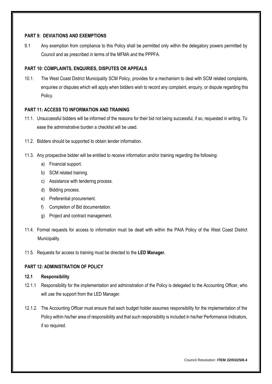#### <span id="page-16-0"></span>**PART 9: DEVIATIONS AND EXEMPTIONS**

9.1 Any exemption from compliance to this Policy shall be permitted only within the delegatory powers permitted by Council and as prescribed in terms of the MFMA and the PPPFA.

#### **PART 10: COMPLAINTS, ENQUIRIES, DISPUTES OR APPEALS**

10.1. The West Coast District Municipality SCM Policy, provides for a mechanism to deal with SCM related complaints, enquiries or disputes which will apply when bidders wish to record any complaint, enquiry, or dispute regarding this Policy.

#### **PART 11: ACCESS TO INFORMATION AND TRAINING**

- 11.1. Unsuccessful bidders will be informed of the reasons for their bid not being successful, if so, requested in writing. To ease the administrative burden a checklist will be used.
- 11.2. Bidders should be supported to obtain tender information.
- 11.3. Any prospective bidder will be entitled to receive information and/or training regarding the following:
	- a) Financial support.
	- b) SCM related training.
	- c) Assistance with tendering process.
	- d) Bidding process.
	- e) Preferential procurement.
	- f) Completion of Bid documentation.
	- g) Project and contract management.
- 11.4. Formal requests for access to information must be dealt with within the PAIA Policy of the West Coast District Municipality.
- 11.5. Requests for access to training must be directed to the **LED Manager.**

# **PART 12: ADMINISTRATION OF POLICY**

#### **12.1 Responsibility**

- 12.1.1 Responsibility for the implementation and administration of the Policy is delegated to the Accounting Officer, who will use the support from the LED Manager.
- 12.1.2. The Accounting Officer must ensure that each budget holder assumes responsibility for the implementation of the Policy within his/her area of responsibility and that such responsibility is included in his/her Performance Indicators, if so required.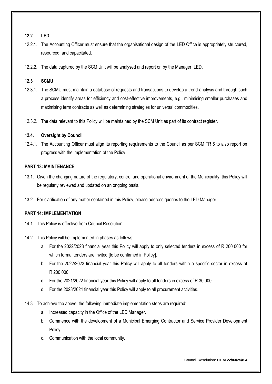#### **12.2 LED**

- 12.2.1. The Accounting Officer must ensure that the organisational design of the LED Office is appropriately structured, resourced, and capacitated.
- 12.2.2. The data captured by the SCM Unit will be analysed and report on by the Manager: LED.

# **12.3 SCMU**

- 12.3.1. The SCMU must maintain a database of requests and transactions to develop a trend-analysis and through such a process identify areas for efficiency and cost-effective improvements, e.g., minimising smaller purchases and maximising term contracts as well as determining strategies for universal commodities.
- 12.3.2. The data relevant to this Policy will be maintained by the SCM Unit as part of its contract register.

# **12.4. Oversight by Council**

12.4.1. The Accounting Officer must align its reporting requirements to the Council as per SCM TR 6 to also report on progress with the implementation of the Policy.

#### **PART 13: MAINTENANCE**

- 13.1. Given the changing nature of the regulatory, control and operational environment of the Municipality, this Policy will be regularly reviewed and updated on an ongoing basis.
- 13.2. For clarification of any matter contained in this Policy, please address queries to the LED Manager.

# **PART 14: IMPLEMENTATION**

- 14.1. This Policy is effective from Council Resolution.
- 14.2. This Policy will be implemented in phases as follows:
	- a. For the 2022/2023 financial year this Policy will apply to only selected tenders in excess of R 200 000 for which formal tenders are invited [to be confirmed in Policy].
	- b. For the 2022/2023 financial year this Policy will apply to all tenders within a specific sector in excess of R 200 000.
	- c. For the 2021/2022 financial year this Policy will apply to all tenders in excess of R 30 000.
	- d. For the 2023/2024 financial year this Policy will apply to all procurement activities.
- 14.3. To achieve the above, the following immediate implementation steps are required:
	- a. Increased capacity in the Office of the LED Manager.
	- b. Commence with the development of a Municipal Emerging Contractor and Service Provider Development Policy.
	- c. Communication with the local community.